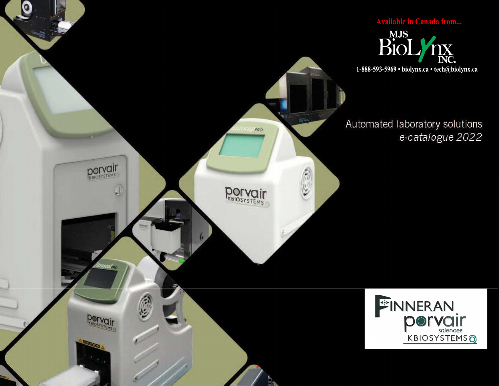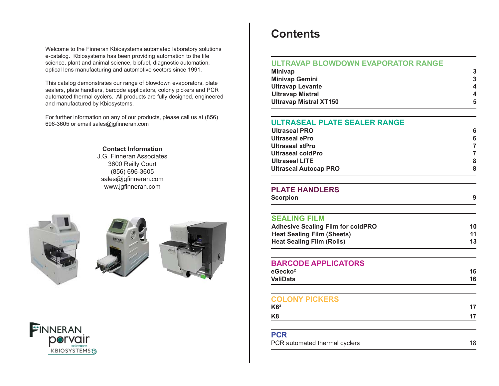Welcome to the Finneran Kbiosystems automated laboratory solutions e-catalog. Kbiosystems has been providing automation to the life science, plant and animal science, biofuel, diagnostic automation, optical lens manufacturing and automotive sectors since 1991.

This catalog demonstrates our range of blowdown evaporators, plate sealers, plate handlers, barcode applicators, colony pickers and PCR automated thermal cyclers. All products are fully designed, engineered and manufactured by Kbiosystems.

For further information on any of our products, please call us at (856) 696-3605 or email sales@jgfinneran.com

### **Contact Information**

J.G. Finneran Associates3600 Reilly Court (856) 696-3605 sales@jgfinneran.com www.jgfinneran.com









# **Contents**

### **ULTRAVAP BLOWDOWN EVAPORATOR RANGE**

| 4  |
|----|
|    |
| 5. |
|    |

### **ULTRASEAL PLATE SEALER RANGE**

| Ultraseal PRO                |   |
|------------------------------|---|
| Ultraseal ePro               | 6 |
| Ultraseal xtPro              |   |
| Ultraseal coldPro            |   |
| Ultraseal LITE               |   |
| <b>Ultraseal Autocap PRO</b> |   |
|                              |   |

### **PLATE HANDLERS**

| <b>LAIL HANDLENO</b>                     | 9  |
|------------------------------------------|----|
| <b>Scorpion</b>                          |    |
| <b>SEALING FILM</b>                      |    |
| <b>Adhesive Sealing Film for coldPRO</b> | 10 |
| <b>Heat Sealing Film (Sheets)</b>        | 11 |
| <b>Heat Sealing Film (Rolls)</b>         | 13 |
| <b>BARCODE APPLICATORS</b>               |    |
| eGecko <sup>2</sup>                      | 16 |
| <b>ValiData</b>                          | 16 |
| <b>COLONY PICKERS</b>                    |    |
| K6 <sup>3</sup>                          | 17 |
| K8                                       | 17 |
| <b>PCR</b>                               |    |
| PCR automated thermal cyclers            | 18 |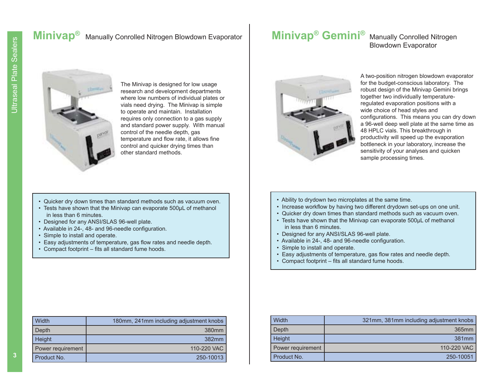## **Minivap<sup>®</sup>** Manually Conrolled Nitrogen Blowdown Evaporator

# **Minivap<sup>®</sup> Gemini<sup>®</sup>** Manually Conrolled Nitrogen

Blowdown Evaporator



The Minivap is designed for low usage research and development departments where low numbers of individual plates or vials need drying. The Minivap is simple to operate and maintain. Installation requires only connection to a gas supply and standard power supply. With manual control of the needle depth, gas temperature and flow rate, it allows fine control and quicker drying times than other standard methods.

- Quicker dry down times than standard methods such as vacuum oven.
- Tests have shown that the Minivap can evaporate 500μL of methanol in less than 6 minutes.
- Designed for any ANSI/SLAS 96-well plate.
- Available in 24-, 48- and 96-needle configuration.
- Simple to install and operate.
- Easy adjustments of temperature, gas flow rates and needle depth.
- Compact footprint fits all standard fume hoods.

| Width             | 180mm, 241mm including adjustment knobs |
|-------------------|-----------------------------------------|
| Depth             | 380mm                                   |
| Height            | $382$ mm                                |
| Power requirement | 110-220 VAC                             |
| Product No.       | 250-10013                               |



A two-position nitrogen blowdown evaporator for the budget-conscious laboratory. The robust design of the Minivap Gemini brings together two individually temperatureregulated evaporation positions with a wide choice of head styles and configurations. This means you can dry down a 96-well deep well plate at the same time as 48 HPLC vials. This breakthrough in productivity will speed up the evaporation bottleneck in your laboratory, increase the sensitivity of your analyses and quicken sample processing times.

- Ability to drydown two microplates at the same time.
- Increase workflow by having two different drydown set-ups on one unit.
- Quicker dry down times than standard methods such as vacuum oven.
- Tests have shown that the Minivap can evaporate 500μL of methanol in less than 6 minutes.
- Designed for any ANSI/SLAS 96-well plate.
- Available in 24-, 48- and 96-needle configuration.
- Simple to install and operate.
- Easy adjustments of temperature, gas flow rates and needle depth.
- Compact footprint fits all standard fume hoods.

| Width             | 321mm, 381mm including adjustment knobs |
|-------------------|-----------------------------------------|
| Depth             | 365mm                                   |
| Height            | 381mm                                   |
| Power requirement | 110-220 VAC                             |
| Product No.       | 250-10051                               |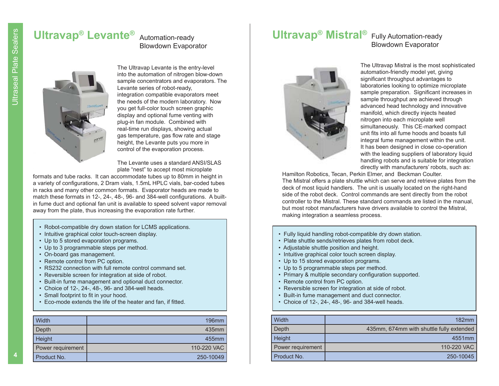### **Ultravap ® Levante ®** Automation-ready Blowdown Evaporator



The Ultravap Levante is the entry-level into the automation of nitrogen blow-down sample concentrators and evaporators. The Levante series of robot-ready, integration compatible evaporators meet the needs of the modern laboratory. Now you get full-color touch screen graphic display and optional fume venting with plug-in fan module. Combined with real-time run displays, showing actual gas temperature, gas flow rate and stage height, the Levante puts you more in control of the evaporation process.

The Levante uses a standard ANSI/SLAS plate "nest" to accept most microplate

formats and tube racks. It can accommodate tubes up to 80mm in height in a variety of configurations, 2 Dram vials, 1.5mL HPLC vials, bar-coded tubes in racks and many other common formats. Evaporator heads are made to match these formats in 12-, 24-, 48-, 96- and 384-well configurations. A builtin fume duct and optional fan unit is available to speed solvent vapor removal away from the plate, thus increasing the evaporation rate further.

- Robot-compatible dry down station for LCMS applications.
- Intuitive graphical color touch-screen display.
- Up to 5 stored evaporation programs.
- Up to 3 programmable steps per method.
- On-board gas management.
- Remote control from PC option.
- RS232 connection with full remote control command set.
- Reversible screen for integration at side of robot.
- Built-in fume management and optional duct connector.
- Choice of 12-, 24-, 48-, 96- and 384-well heads.
- Small footprint to fit in your hood.
- Eco-mode extends the life of the heater and fan, if fitted.

| Width             | 196 <sub>mm</sub> |
|-------------------|-------------------|
| Depth             | 435mm             |
| <b>Height</b>     | 455mm             |
| Power requirement | 110-220 VAC       |
| Product No.       | 250-10049         |

## **Ultravap ® Mistral ®** Fully Automation-ready

# Blowdown Evaporator



The Ultrays technical is the set of each visible since the set of the set of each set of the set of each visible since the set of the set of each visible set of each visible set of each visible set of each visible set of

- 
- 
- 
- 
- 
- 
- 
- 
- 
- 
- 

| Width             | $182 \text{mm}$                          |
|-------------------|------------------------------------------|
| Depth             | 435mm, 674mm with shuttle fully extended |
| Height            | 4551 <sub>mm</sub>                       |
| Power requirement | 110-220 VAC                              |
| Product No.       | 250-10045                                |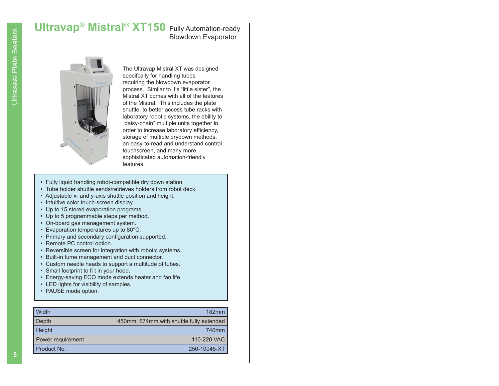# **Ultravap<sup>®</sup> Mistral<sup>®</sup> XT150** Fully Automation-ready

# Blowdown Evaporator



The Ultravap Mistral XT was designed specifcally for handling tubes requiring the blowdown evaporator process. Similar to it's "little sister", the Mistral XT comes with all of the features of the Mistral. This includes the plate shuttle, to better access tube racks with laboratory robotic systems, the ability to "daisy-chain" multiple units together in order to increase laboratory efficiency, storage of multiple drydown methods, an easy-to-read and understand control touchscreen, and many more sophisticated automation-friendly features.

- Fully liquid handling robot-compatible dry down station.
- Tube holder shuttle sends/retrieves holders from robot deck.
- Adjustable x- and y-axis shuttle position and height.
- Intuitive color touch-screen display.
- Up to 15 stored evaporation programs.
- Up to 5 programmable steps per method.
- On-board gas management system.
- Evaporation temperatures up to 80°C.
- Primary and secondary configuration supported.
- Remote PC control option.
- Reversible screen for integration with robotic systems.
- Built-in fume management and duct connector.
- Custom needle heads to support a multitude of tubes.
- Small footprint to fi t in your hood.
- Energy-saving ECO mode extends heater and fan life.
- LED lights for visibility of samples.
- PAUSE mode option.

| Width                    | $182$ mm                                 |
|--------------------------|------------------------------------------|
| Depth                    | 450mm, 674mm with shuttle fully extended |
| Height                   | 740 <sub>mm</sub>                        |
| <b>Power requirement</b> | 110-220 VAC                              |
| Product No.              | 250-10045-XT                             |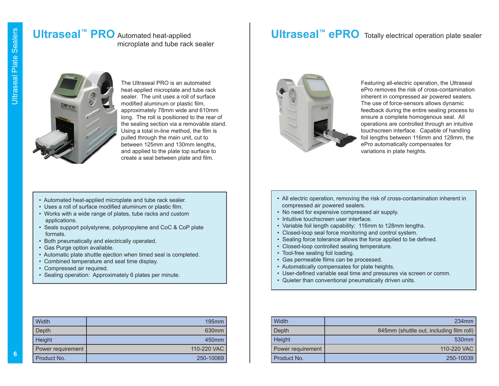### **Ultraseal™ PRO** Automated heat-applied microplate and tube rack sealer

## **Ultraseal™ ePRO** Totally electrical operation plate sealer

The Ultraseal PRO is an automated heat-applied microplate and tube rack sealer. The unit uses a roll of surface modified aluminum or plastic film, approximately 78mm wide and 610mm long. The roll is positioned to the rear of the sealing section via a removable stand. Using a total in-line method, the film is pulled through the main unit, cut to between 125mm and 130mm lengths, and applied to the plate top surface to create a seal between plate and film.

### • Automated heat-applied microplate and tube rack sealer.

- Uses a roll of surface modified aluminum or plastic film.
- Works with a wide range of plates, tube racks and custom applications.
- Seals support polystyrene, polypropylene and CoC & CoP plate formats.
- Both pneumatically and electrically operated.
- Gas Purge option available.
- Automatic plate shuttle ejection when timed seal is completed.
- Combined temperature and seal time display.
- Compressed air required.
- Sealing operation: Approximately 6 plates per minute.

| Width             | $195$ mm          |
|-------------------|-------------------|
| Depth             | 630 <sub>mm</sub> |
| Height            | 450 <sub>mm</sub> |
| Power requirement | 110-220 VAC       |
| Product No.       | 250-10069         |



Featuring all-electric operation, the Ultraseal ePro removes the risk of cross-contamination inherent in compressed air powered sealers. The use of force-sensors allows dynamic feedback during the entire sealing process to ensure a complete homogenous seal. All operations are controlled through an intuitive touchscreen interface. Capable of handling foil lengths between 116mm and 128mm, the ePro automatically compensates for variations in plate heights.

- All electric operation, removing the risk of cross-contamination inherent in compressed air powered sealers.
- No need for expensive compressed air supply.
- Intuitive touchscreen user interface.
- Variable foil length capability: 116mm to 128mm lengths.
- Closed-loop seal force monitoring and control system.
- Sealing force tolerance allows the force applied to be defined.
- Closed-loop controlled sealing temperature.
- Tool-free sealing foil loading.
- Gas permeable films can be processed.
- Automatically compensates for plate heights.
- User-defined variable seal time and pressures via screen or comm.
- Quieter than conventional pneumatically driven units.

| Width             | 234 <sub>mm</sub>                        |
|-------------------|------------------------------------------|
| Depth             | 845mm (shuttle out, including film roll) |
| Height            | 530 <sub>mm</sub>                        |
| Power requirement | 110-220 VAC                              |
| Product No.       | 250-10039                                |

**6**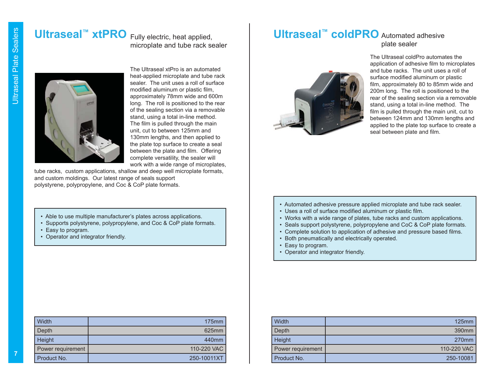### **Ultraseal™ xtPRO** Fully electric, heat applied, microplate and tube rack sealer



The Ultraseal xtPro is an automated heat-applied microplate and tube rack sealer. The unit uses a roll of surface modified aluminum or plastic film. approximately 78mm wide and 600m long. The roll is positioned to the rear of the sealing section via a removable stand, using a total in-line method. The film is pulled through the main unit, cut to between 125mm and 130mm lengths, and then applied to the plate top surface to create a seal between the plate and film. Offering complete versatility, the sealer will work with a wide range of microplates,

tube racks, custom applications, shallow and deep well microplate formats, and custom moldings. Our latest range of seals support polystyrene, polypropylene, and Coc & CoP plate formats.

- Able to use multiple manufacturer's plates across applications.
- Supports polystyrene, polypropylene, and Coc & CoP plate formats.
- Easy to program.
- Operator and integrator friendly.

| Width             | $175$ mm          |
|-------------------|-------------------|
| Depth             | 625mm             |
| Height            | 440 <sub>mm</sub> |
| Power requirement | 110-220 VAC       |
| Product No.       | 250-10011XT       |

### **Ultraseal™ coldPRO** Automated adhesive plate sealer



The Ultraseal coldPro automates the application of adhesive film to microplates and tube racks. The unit uses a roll of surface modified aluminum or plastic film, approximately 80 to 85mm wide and 200m long. The roll is positioned to the rear of the sealing section via a removable stand, using a total in-line method. The film is pulled through the main unit, cut to between 124mm and 130mm lengths and applied to the plate top surface to create a seal between plate and film.

- Automated adhesive pressure applied microplate and tube rack sealer.
- Uses a roll of surface modified aluminum or plastic film.
- Works with a wide range of plates, tube racks and custom applications.
- Seals support polystyrene, polypropylene and CoC & CoP plate formats.
- Complete solution to application of adhesive and pressure based films.
- Both pneumatically and electrically operated.
- Easy to program.
- Operator and integrator friendly.

| Width             | $125$ mm          |
|-------------------|-------------------|
| Depth             | 390 <sub>mm</sub> |
| Height            | 270 <sub>mm</sub> |
| Power requirement | 110-220 VAC       |
| Product No.       | 250-10081         |

**7**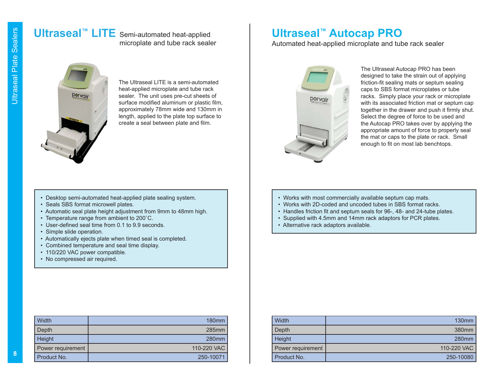# **Ultraseal™ LITE** Semi-automated heat-applied

# microplate and tube rack sealer



The Ultraseal LITE is a semi-automated heat-applied microplate and tube rack sealer. The unit uses pre-cut sheets of surface modified aluminum or plastic film, approximately 78mm wide and 130mm in length, applied to the plate top surface to create a seal between plate and film.

### • Desktop semi-automated heat-applied plate sealing system.

- Seals SBS format microwell plates.
- Automatic seal plate height adjustment from 9mm to 48mm high.
- Temperature range from ambient to 200˚C.
- User-defined seal time from 0.1 to 9.9 seconds.
- Simple slide operation.
- Automatically ejects plate when timed seal is completed.
- Combined temperature and seal time display.
- 110/220 VAC power compatible.
- No compressed air required.

| Width             | 180 <sub>mm</sub> |
|-------------------|-------------------|
| Depth             | 285mm             |
| Height            | 280 <sub>mm</sub> |
| Power requirement | 110-220 VAC       |
| Product No.       | 250-10071         |

## **Ultraseal™ Autocap PRO**

Automated heat-applied microplate and tube rack sealer



The Ultraseal Autocap PRO has been designed to take the strain out of applying friction-fit sealing mats or septum sealing caps to SBS format microplates or tube racks. Simply place your rack or microplate with its associated friction mat or septum cap together in the drawer and push it firmly shut. Select the degree of force to be used and the Autocap PRO takes over by applying the appropriate amount of force to properly seal the mat or caps to the plate or rack. Small enough to fit on most lab benchtops.

- Works with most commercially available septum cap mats.
- Works with 2D-coded and uncoded tubes in SBS format racks.
- Handles friction fit and septum seals for 96-, 48- and 24-tube plates.
- Supplied with 4.5mm and 14mm rack adaptors for PCR plates.
- Alternative rack adaptors available.

| Width             | 130 <sub>mm</sub> |
|-------------------|-------------------|
| Depth             | 380 <sub>mm</sub> |
| Height            | 280 <sub>mm</sub> |
| Power requirement | 110-220 VAC       |
| Product No.       | 250-10080         |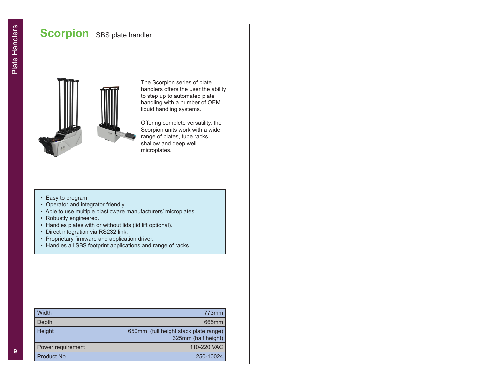## **Scorpion** SBS plate handler



The Scorpion series of plate handlers offers the user the ability to step up to automated plate handling with a number of OEM liquid handling systems.

Offering complete versatility, the Scorpion units work with a wide range of plates, tube racks, shallow and deep well microplates.

- Easy to program.
- Operator and integrator friendly.
- Able to use multiple plasticware manufacturers' microplates.
- Robustly engineered.
- Handles plates with or without lids (lid lift optional).
- Direct integration via RS232 link.
- Proprietary firmware and application driver.
- Handles all SBS footprint applications and range of racks.

| Width             | 773mm                                                        |
|-------------------|--------------------------------------------------------------|
| Depth             | 665mm                                                        |
| Height            | 650mm (full height stack plate range)<br>325mm (half height) |
| Power requirement | 110-220 VAC                                                  |
| Product No.       | 250-10024                                                    |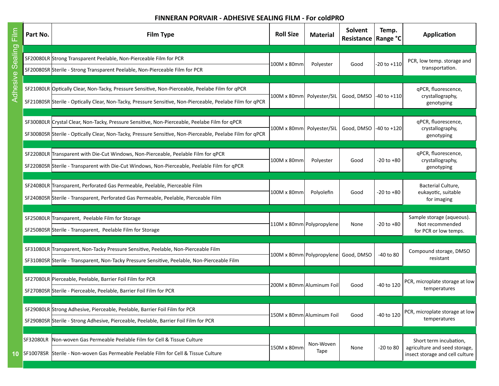### **FINNERAN PORVAIR - ADHESIVE SEALING FILM - For coldPRO**

| E<br>H       | Part No.         | <b>Film Type</b>                                                                                                                                                                                             | <b>Roll Size</b>            | <b>Material</b>                      | Solvent<br>Resistance | Temp.<br><b>Range °C</b> | <b>Application</b>                                                                         |
|--------------|------------------|--------------------------------------------------------------------------------------------------------------------------------------------------------------------------------------------------------------|-----------------------------|--------------------------------------|-----------------------|--------------------------|--------------------------------------------------------------------------------------------|
| Sealing      |                  | SF20080LR Strong Transparent Peelable, Non-Pierceable Film for PCR<br>SF20080SR Sterile - Strong Transparent Peelable, Non-Pierceable Film for PCR                                                           | 100M x 80mm                 | Polyester                            | Good                  | $-20$ to $+110$          | PCR, low temp. storage and<br>transportation.                                              |
| dhesive<br>⋖ |                  | SF21080LR Optically Clear, Non-Tacky, Pressure Sensitive, Non-Pierceable, Peelabe Film for qPCR<br>SF21080SR Sterile - Optically Clear, Non-Tacky, Pressure Sensitive, Non-Pierceable, Peelabe Film for qPCR | 100M x 80mm Polyester/SIL   |                                      | Good, DMSO            | -40 to +110              | qPCR, fluorescence,<br>crystallography,<br>genotyping                                      |
|              |                  | SF30080LR Crystal Clear, Non-Tacky, Pressure Sensitive, Non-Pierceable, Peelabe Film for qPCR<br>SF30080SR Sterile - Optically Clear, Non-Tacky, Pressure Sensitive, Non-Pierceable, Peelabe Film for qPCR   | 100M x 80mm   Polyester/SIL |                                      | Good, DMSO            | $-40$ to $+120$          | qPCR, fluorescence,<br>crystallography,<br>genotyping                                      |
|              |                  | SF22080LR Transparent with Die-Cut Windows, Non-Pierceable, Peelable Film for qPCR<br>SF22080SR Sterile - Transparent with Die-Cut Windows, Non-Pierceable, Peelable Film for qPCR                           | 100M x 80mm                 | Polyester                            | Good                  | $-20$ to $+80$           | qPCR, fluorescence,<br>crystallography,<br>genotyping                                      |
|              |                  | SF24080LR Transparent, Perforated Gas Permeable, Peelable, Pierceable Film<br>SF24080SR Sterile - Transparent, Perforated Gas Permeable, Peelable, Pierceable Film                                           | 100M x 80mm                 | Polyolefin                           | Good                  | -20 to +80               | Bacterial Culture,<br>eukayotic, suitable<br>for imaging                                   |
|              |                  | SF25080LR Transparent, Peelable Film for Storage<br>SF25080SR Sterile - Transparent, Peelable Film for Storage                                                                                               |                             | 110M x 80mm Polypropylene            | None                  | -20 to +80               | Sample storage (aqueous).<br>Not recommended<br>for PCR or low temps.                      |
|              |                  | SF31080LR Transparent, Non-Tacky Pressure Sensitive, Peelable, Non-Pierceable Film<br>SF31080SR Sterile - Transparent, Non-Tacky Pressure Sensitive, Peelable, Non-Pierceable Film                           |                             | 100M x 80mm Polypropylene Good, DMSO |                       | -40 to 80                | Compound storage, DMSO<br>resistant                                                        |
|              |                  | SF27080LR Pierceable, Peelable, Barrier Foil Film for PCR<br>SF27080SR Sterile - Pierceable, Peelable, Barrier Foil Film for PCR                                                                             |                             | 200M x 80mm Aluminum Foil            | Good                  | -40 to 120               | PCR, microplate storage at low<br>temperatures                                             |
|              |                  | SF29080LR Strong Adhesive, Pierceable, Peelable, Barrier Foil Film for PCR<br>SF29080SR Sterile - Strong Adhesive, Pierceable, Peelable, Barrier Foil Film for PCR                                           | 150M x 80mm Aluminum Foil   |                                      | Good                  | -40 to 120               | PCR, microplate storage at low<br>temperatures                                             |
|              | <b>SF32080LR</b> | Non-woven Gas Permeable Peelable Film for Cell & Tissue Culture<br>10 SF10078SR Sterile - Non-woven Gas Permeable Peelable Film for Cell & Tissue Culture                                                    | 150M x 80mm                 | Non-Woven<br>Tape                    | None                  | $-20$ to $80$            | Short term incubation,<br>agriculture and seed storage,<br>insect storage and cell culture |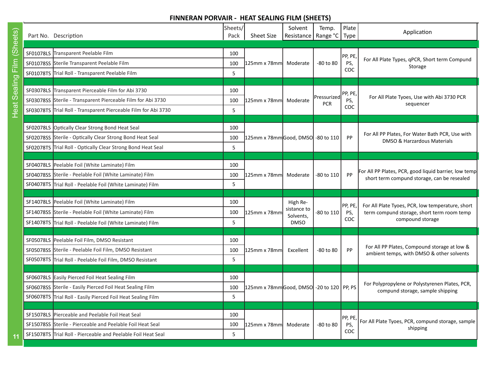### **FINNERAN PORVAIR - HEAT SEALING FILM (SHEETS)**

**11**

| Part No. Description                                            | Sheets/<br>Pack | <b>Sheet Size</b>                                           | Solvent<br>Resistance   | Temp.<br>Range °C         | Plate<br>Type | Application                                           |  |
|-----------------------------------------------------------------|-----------------|-------------------------------------------------------------|-------------------------|---------------------------|---------------|-------------------------------------------------------|--|
|                                                                 |                 |                                                             |                         |                           |               |                                                       |  |
| SF01078LS Transparent Peelable Film                             | 100             |                                                             |                         |                           | PP, PE        | For All Plate Types, qPCR, Short term Compund         |  |
| SF01078SS Sterile Transparent Peelable Film                     | 100             | 125mm x 78mm                                                | Moderate                | -80 to 80                 | PS,           | Storage                                               |  |
| SF01078TS Trial Roll - Transparent Peelable Film                | 5               |                                                             |                         |                           | COC           |                                                       |  |
|                                                                 |                 |                                                             |                         |                           |               |                                                       |  |
| SF03078LS Transparent Pierceable Film for Abi 3730              | 100             |                                                             |                         |                           | PP, PE,       | For All Plate Tyoes, Use with Abi 3730 PCR            |  |
| SF03078SS Sterile - Transparent Pierceable Film for Abi 3730    | 100             | l125mm x 78mml                                              | Moderate                | Pressurized<br><b>PCR</b> | PS,           | sequencer                                             |  |
| SF03078TS Trial Roll - Transparent Pierceable Film for Abi 3730 | 5               |                                                             |                         |                           | COC           |                                                       |  |
|                                                                 |                 |                                                             |                         |                           |               |                                                       |  |
| SF02078LS Optically Clear Strong Bond Heat Seal                 | 100             |                                                             |                         |                           |               | For All PP Plates, For Water Bath PCR, Use with       |  |
| SF02078SS Sterile - Optically Clear Strong Bond Heat Seal       | 100             | 125mm x 78mm Good, DMSO -80 to 110                          |                         |                           | PP            | DMSO & Harzardous Materials                           |  |
| SF02078TS Trial Roll - Optically Clear Strong Bond Heat Seal    | 5               |                                                             |                         |                           |               |                                                       |  |
|                                                                 |                 |                                                             |                         |                           |               |                                                       |  |
| SF04078LS Peelable Foil (White Laminate) Film                   | 100             |                                                             |                         |                           |               | For All PP Plates, PCR, good liquid barrier, low temp |  |
| SF04078SS Sterile - Peelable Foil (White Laminate) Film         | 100             | $125$ mm x 78mm                                             | Moderate                | -80 to 110                | PP            | short term compund storage, can be resealed           |  |
| SF04078TS Trial Roll - Peelable Foil (White Laminate) Film      | 5               |                                                             |                         |                           |               |                                                       |  |
|                                                                 |                 |                                                             |                         |                           |               |                                                       |  |
| SF14078LS Peelable Foil (White Laminate) Film                   | 100             |                                                             | High Re-<br>sistance to |                           | PP, PE        | For All Plate Tyoes, PCR, low temperature, short      |  |
| SF14078SS Sterile - Peelable Foil (White Laminate) Film         | 100             | 125mm x 78mm                                                | Solvents,               | -80 to 110                | PS,<br>COC    | term compund storage, short term room temp            |  |
| SF14078TS Trial Roll - Peelable Foil (White Laminate) Film      | 5               |                                                             | <b>DMSO</b>             |                           |               | compound storage                                      |  |
|                                                                 |                 |                                                             |                         |                           |               |                                                       |  |
| SF05078LS Peelable Foil Film, DMSO Resistant                    | 100             |                                                             |                         |                           |               | For All PP Plates, Compound storage at low &          |  |
| SF05078SS Sterile - Peelable Foil Film, DMSO Resistant          | 100             | 125mm x 78mm                                                | Excellent               | -80 to 80                 | PP            | ambient temps, with DMSO & other solvents             |  |
| SF05078TS Trial Roll - Peelable Foil Film, DMSO Resistant       | 5               |                                                             |                         |                           |               |                                                       |  |
|                                                                 |                 |                                                             |                         |                           |               |                                                       |  |
| SF06078LS Easily Pierced Foil Heat Sealing Film                 | 100             |                                                             |                         |                           |               | For Polypropylene or Polystyrenen Plates, PCR,        |  |
| SF06078SS Sterile - Easily Pierced Foil Heat Sealing Film       | 100             | 125mm x 78mm <mark> Good, DMSO</mark>   -20 to 120   PP, PS |                         |                           |               | compund storage, sample shipping                      |  |
| SF06078TS Trial Roll - Easily Pierced Foil Heat Sealing Film    | 5               |                                                             |                         |                           |               |                                                       |  |
|                                                                 |                 |                                                             |                         |                           |               |                                                       |  |
| SF15078LS Pierceable and Peelable Foil Heat Seal                | 100             |                                                             |                         |                           | PP, PE<br>PS, | For All Plate Tyoes, PCR, compund storage, sample     |  |
| SF15078SS Sterile - Pierceable and Peelable Foil Heat Seal      | 100             | l125mm x 78mml                                              | Moderate                | -80 to 80                 |               | shipping                                              |  |
| SF15078TS Trial Roll - Pierceable and Peelable Foil Heat Seal   | 5               |                                                             |                         |                           | COC           |                                                       |  |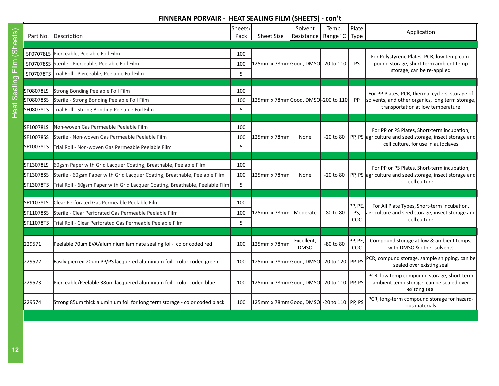### **FINNERAN PORVAIR - HEAT SEALING FILM (SHEETS) - con't**

| l                                                          |
|------------------------------------------------------------|
|                                                            |
| l<br>l                                                     |
|                                                            |
|                                                            |
|                                                            |
|                                                            |
| c                                                          |
|                                                            |
|                                                            |
|                                                            |
|                                                            |
|                                                            |
| ֚֬֕<br>œ                                                   |
|                                                            |
| ֖֖֖֖֖֖֖֖ׅ֖֧֪֪֪ׅ֖֧֪֪֪֪֧֖֚֚֚֚֚֚֚֚֚֚֚֚֚֚֚֚֚֚֚֚֚֚֚֚֚֚֚֬֝֓֞֝֓֞֝ |
|                                                            |
|                                                            |
|                                                            |
| l                                                          |
|                                                            |
|                                                            |
|                                                            |
|                                                            |
|                                                            |
|                                                            |
| Ó<br>I                                                     |
|                                                            |
|                                                            |
|                                                            |

|           | Part No. Description                                                          | Sheets/<br>Pack | <b>Sheet Size</b>                          | Solvent<br>Resistance   Range °C | Temp.         | Plate<br>Type         | Application                                                                                             |
|-----------|-------------------------------------------------------------------------------|-----------------|--------------------------------------------|----------------------------------|---------------|-----------------------|---------------------------------------------------------------------------------------------------------|
|           |                                                                               |                 |                                            |                                  |               |                       |                                                                                                         |
|           | SF07078LS Pierceable, Peelable Foil Film                                      | 100             |                                            |                                  |               |                       | For Polystyrene Plates, PCR, low temp com-                                                              |
|           | SF07078SS Sterile - Pierceable, Peelable Foil Film                            | 100             | 125mm x 78mmGood, DMSO -20 to 110          |                                  |               | <b>PS</b>             | pound storage, short term ambient temp                                                                  |
|           | SF07078TS Trial Roll - Pierceable, Peelable Foil Film                         | 5               |                                            |                                  |               |                       | storage, can be re-applied                                                                              |
|           |                                                                               |                 |                                            |                                  |               |                       |                                                                                                         |
| SF08078LS | Strong Bonding Peelable Foil Film                                             | 100             |                                            |                                  |               |                       | For PP Plates, PCR, thermal cyclers, storage of                                                         |
| SF08078SS | Sterile - Strong Bonding Peelable Foil Film                                   | 100             | 125mm x 78mmGood, DMSO-200 to 110          |                                  |               | PP.                   | solvents, and other organics, long term storage,                                                        |
| SF08078TS | Trial Roll - Strong Bonding Peelable Foil Film                                | 5               |                                            |                                  |               |                       | transportation at low temperature                                                                       |
|           |                                                                               |                 |                                            |                                  |               |                       |                                                                                                         |
| SF10078LS | Non-woven Gas Permeable Peelable Film                                         | 100             |                                            |                                  |               |                       | For PP or PS Plates, Short-term incubation,                                                             |
| SF10078SS | <b>Sterile - Non-woven Gas Permeable Peelable Film</b>                        | 100             | 125mm x 78mm                               | None                             | $-20$ to $80$ |                       | PP, PS agriculture and seed storage, insect storage and<br>cell culture, for use in autoclaves          |
| SF10078TS | Trial Roll - Non-woven Gas Permeable Peelable Film                            | 5               |                                            |                                  |               |                       |                                                                                                         |
|           |                                                                               |                 |                                            |                                  |               |                       |                                                                                                         |
| SF13078LS | 60gsm Paper with Grid Lacquer Coating, Breathable, Peelable Film              | 100             |                                            |                                  |               |                       | For PP or PS Plates, Short-term incubation,                                                             |
| SF13078SS | Sterile - 60gsm Paper with Grid Lacquer Coating, Breathable, Peelable Film    | 100             | 125mm x 78mm                               | None                             | $-20$ to $80$ |                       | PP, PS agriculture and seed storage, insect storage and                                                 |
| SF13078TS | Trial Roll - 60gsm Paper with Grid Lacquer Coating, Breathable, Peelable Film | 5               |                                            |                                  |               |                       | cell culture                                                                                            |
|           |                                                                               |                 |                                            |                                  |               |                       |                                                                                                         |
| SF11078LS | Clear Perforated Gas Permeable Peelable Film                                  | 100             |                                            |                                  |               | PP, PE,               | For All Plate Types, Short-term incubation,                                                             |
| SF11078SS | Sterile - Clear Perforated Gas Permeable Peelable Film                        | 100             | l125mm x 78mml                             | Moderate                         | -80 to 80     | PS,                   | agriculture and seed storage, insect storage and                                                        |
| SF11078TS | Trial Roll - Clear Perforated Gas Permeable Peelable Film                     | 5               |                                            |                                  |               | COC.                  | cell culture                                                                                            |
|           |                                                                               |                 |                                            |                                  |               |                       |                                                                                                         |
| 229571    | Peelable 70um EVA/aluminium laminate sealing foil- color coded red            | 100             | 125mm x 78mm                               | Excellent,<br><b>DMSO</b>        | -80 to 80     | PP, PE,<br><b>COC</b> | Compound storage at low & ambient temps,<br>with DMSO & other solvents                                  |
| 229572    | Easily pierced 20um PP/PS lacquered aluminium foil - color coded green        | 100             | 125mm x 78mmGood, DMSO -20 to 120 PP, PS   |                                  |               |                       | PCR, compund storage, sample shipping, can be<br>sealed over existing seal                              |
| 229573    | Pierceable/Peelable 38um lacquered aluminium foil - color coded blue          | 100             | 125mm x 78mmGood, DMSO -20 to 110   PP, PS |                                  |               |                       | PCR, low temp compound storage, short term<br>ambient temp storage, can be sealed over<br>existing seal |
| 229574    | Strong 85um thick aluminium foil for long term storage - color coded black    | 100             | 125mm x 78mmGood, DMSO -20 to 110   PP, PS |                                  |               |                       | PCR, long-term compound storage for hazard-<br>ous materials                                            |
|           |                                                                               |                 |                                            |                                  |               |                       |                                                                                                         |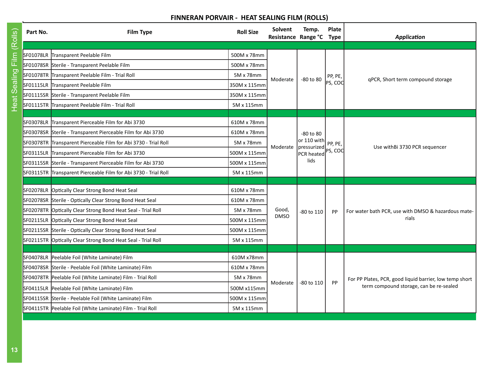## **FINNERAN PORVAIR - HEAT SEALING FILM (ROLLS)**

| Film (Rolls) | Part No.         | <b>Film Type</b>                                                | <b>Roll Size</b> | <b>Solvent</b><br>Resistance Range °C Type | Temp.                      | Plate   | <b>Application</b>                                           |
|--------------|------------------|-----------------------------------------------------------------|------------------|--------------------------------------------|----------------------------|---------|--------------------------------------------------------------|
|              |                  | SF01078LR Transparent Peelable Film                             | 500M x 78mm      |                                            |                            |         |                                                              |
|              |                  | SF01078SR Sterile - Transparent Peelable Film                   | 500M x 78mm      |                                            |                            |         |                                                              |
|              |                  | SF01078TR Transparent Peelable Film - Trial Roll                | 5M x 78mm        |                                            |                            | PP, PE, |                                                              |
| Sealing      |                  | SF01115LR Transparent Peelable Film                             | 350M x 115mm     | Moderate                                   | -80 to 80                  | PS, COC | qPCR, Short term compound storage                            |
|              |                  | SF01115SR Sterile - Transparent Peelable Film                   | 350M x 115mm     |                                            |                            |         |                                                              |
| Heat:        |                  | SF01115TR Transparent Peelable Film - Trial Roll                | 5M x 115mm       |                                            |                            |         |                                                              |
|              |                  |                                                                 |                  |                                            |                            |         |                                                              |
|              |                  | SF03078LR Transparent Pierceable Film for Abi 3730              | 610M x 78mm      |                                            |                            |         |                                                              |
|              |                  | SF03078SR Sterile - Transparent Pierceable Film for Abi 3730    | 610M x 78mm      |                                            | -80 to 80                  |         | Use with Bi 3730 PCR sequencer                               |
|              |                  | SF03078TR Transparent Pierceable Film for Abi 3730 - Trial Roll | 5M x 78mm        | Moderate                                   | or 110 with<br>pressurized | PP, PE, |                                                              |
|              |                  | SF03115LR Transparent Pierceable Film for Abi 3730              | 500M x 115mm     |                                            | PCR heated                 | PS, COC |                                                              |
|              |                  | SF03115SR Sterile - Transparent Pierceable Film for Abi 3730    | 500M x 115mm     |                                            | lids                       |         |                                                              |
|              |                  | SF03115TR Transparent Pierceable Film for Abi 3730 - Trial Roll | 5M x 115mm       |                                            |                            |         |                                                              |
|              |                  | SF02078LR Optically Clear Strong Bond Heat Seal                 | 610M x 78mm      |                                            |                            |         |                                                              |
|              |                  | SF02078SR Sterile - Optically Clear Strong Bond Heat Seal       | 610M x 78mm      |                                            |                            |         | For water bath PCR, use with DMSO & hazardous mate-<br>rials |
|              | <b>SF02078TR</b> | Optically Clear Strong Bond Heat Seal - Trial Roll              | 5M x 78mm        | Good,                                      |                            |         |                                                              |
|              | SF02115LR        | Optically Clear Strong Bond Heat Seal                           | 500M x 115mm     | <b>DMSO</b>                                | -80 to 110                 | PP.     |                                                              |
|              |                  | SF02115SR Sterile - Optically Clear Strong Bond Heat Seal       | 500M x 115mm     |                                            |                            |         |                                                              |
|              | SF02115TR        | Optically Clear Strong Bond Heat Seal - Trial Roll              | 5M x 115mm       |                                            |                            |         |                                                              |
|              |                  |                                                                 |                  |                                            |                            |         |                                                              |
|              |                  | SF04078LR Peelable Foil (White Laminate) Film                   | 610M x78mm       |                                            |                            |         |                                                              |
|              |                  | SF04078SR Sterile - Peelable Foil (White Laminate) Film         | 610M x 78mm      |                                            |                            |         |                                                              |
|              | SF04078TR        | Peelable Foil (White Laminate) Film - Trial Roll                | 5M x 78mm        |                                            |                            |         | For PP Plates, PCR, good liquid barrier, low temp short      |
|              |                  | SF04115LR Peelable Foil (White Laminate) Film                   | 500M x115mm      | Moderate                                   | -80 to 110                 | PP      | term compound storage, can be re-sealed                      |
|              |                  | SF04115SR Sterile - Peelable Foil (White Laminate) Film         | 500M x 115mm     |                                            |                            |         |                                                              |
|              |                  | SF04115TR Peelable Foil (White Laminate) Film - Trial Roll      | 5M x 115mm       |                                            |                            |         |                                                              |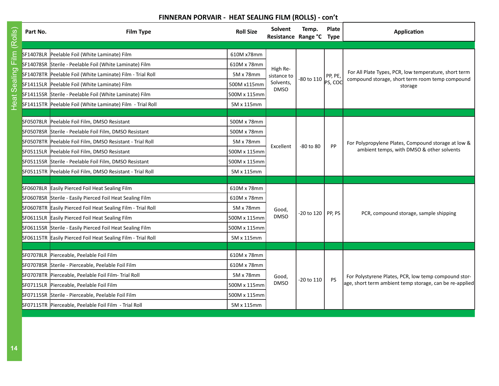## **FINNERAN PORVAIR - HEAT SEALING FILM (ROLLS) - con't**

| Film (Rolls)<br>ealing | SF14078LR Peelable Foil (White Laminate) Film                |              |                          |                       |           |                                                                                                                 |
|------------------------|--------------------------------------------------------------|--------------|--------------------------|-----------------------|-----------|-----------------------------------------------------------------------------------------------------------------|
|                        |                                                              |              |                          |                       |           |                                                                                                                 |
|                        |                                                              | 610M x78mm   |                          |                       |           |                                                                                                                 |
|                        | SF14078SR Sterile - Peelable Foil (White Laminate) Film      | 610M x 78mm  | High Re-                 |                       |           |                                                                                                                 |
|                        | SF14078TR Peelable Foil (White Laminate) Film - Trial Roll   | 5M x 78mm    | sistance to              | -80 to 110            | PP, PE,   | For All Plate Types, PCR, low temperature, short term<br>compound storage, short term room temp compound        |
|                        | SF14115LR Peelable Foil (White Laminate) Film                | 500M x115mm  | Solvents,<br><b>DMSO</b> |                       | PS, COC   | storage                                                                                                         |
| Heat S                 | SF14115SR Sterile - Peelable Foil (White Laminate) Film      | 500M x 115mm |                          |                       |           |                                                                                                                 |
|                        | SF14115TR Peelable Foil (White Laminate) Film - Trial Roll   | 5M x 115mm   |                          |                       |           |                                                                                                                 |
|                        |                                                              |              |                          |                       |           |                                                                                                                 |
|                        | SF05078LR Peelable Foil Film, DMSO Resistant                 | 500M x 78mm  |                          |                       |           |                                                                                                                 |
|                        | SF05078SR Sterile - Peelable Foil Film, DMSO Resistant       | 500M x 78mm  |                          |                       |           | For Polypropylene Plates, Compound storage at low &<br>ambient temps, with DMSO & other solvents                |
|                        | SF05078TR Peelable Foil Film, DMSO Resistant - Trial Roll    | 5M x 78mm    | Excellent                | $-80$ to $80$         | PP        |                                                                                                                 |
|                        | SF05115LR Peelable Foil Film, DMSO Resistant                 | 500M x 115mm |                          |                       |           |                                                                                                                 |
|                        | SF05115SR Sterile - Peelable Foil Film, DMSO Resistant       | 500M x 115mm |                          |                       |           |                                                                                                                 |
|                        | SF05115TR Peelable Foil Film, DMSO Resistant - Trial Roll    | 5M x 115mm   |                          |                       |           |                                                                                                                 |
|                        |                                                              |              |                          |                       |           |                                                                                                                 |
|                        | SF06078LR Easily Pierced Foil Heat Sealing Film              | 610M x 78mm  |                          |                       |           | PCR, compound storage, sample shipping                                                                          |
|                        | SF06078SR Sterile - Easily Pierced Foil Heat Sealing Film    | 610M x 78mm  |                          |                       |           |                                                                                                                 |
|                        | SF06078TR Easily Pierced Foil Heat Sealing Film - Trial Roll | 5M x 78mm    | Good,                    | $-20$ to 120   PP, PS |           |                                                                                                                 |
|                        | SF06115LR Easily Pierced Foil Heat Sealing Film              | 500M x 115mm | <b>DMSO</b>              |                       |           |                                                                                                                 |
|                        | SF06115SR Sterile - Easily Pierced Foil Heat Sealing Film    | 500M x 115mm |                          |                       |           |                                                                                                                 |
|                        | SF06115TR Easily Pierced Foil Heat Sealing Film - Trial Roll | 5M x 115mm   |                          |                       |           |                                                                                                                 |
|                        |                                                              |              |                          |                       |           |                                                                                                                 |
|                        | SF07078LR Pierceable, Peelable Foil Film                     | 610M x 78mm  |                          |                       |           |                                                                                                                 |
|                        | SF07078SR Sterile - Pierceable, Peelable Foil Film           | 610M x 78mm  |                          |                       |           |                                                                                                                 |
|                        | SF07078TR Pierceable, Peelable Foil Film- Trial Roll         | 5M x 78mm    | Good,                    | -20 to 110            | <b>PS</b> | For Polystyrene Plates, PCR, low temp compound stor-<br>age, short term ambient temp storage, can be re-applied |
|                        | SF07115LR Pierceable, Peelable Foil Film                     | 500M x 115mm | <b>DMSO</b>              |                       |           |                                                                                                                 |
|                        | SF07115SR Sterile - Pierceable, Peelable Foil Film           | 500M x 115mm |                          |                       |           |                                                                                                                 |
|                        | SF07115TR  Pierceable, Peelable Foil Film - Trial Roll       | 5M x 115mm   |                          |                       |           |                                                                                                                 |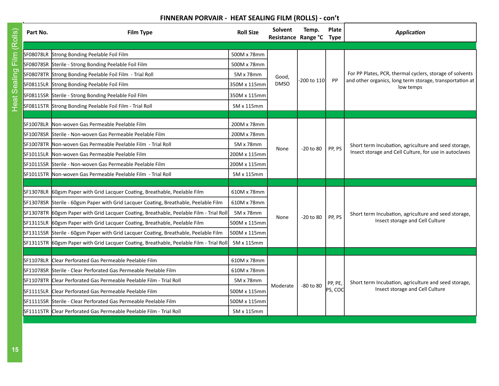## **FINNERAN PORVAIR - HEAT SEALING FILM (ROLLS) - con't**

| Part No. | <b>Film Type</b>                                                                        | <b>Roll Size</b> | Solvent<br>Resistance Range °C | Temp.         | Plate<br><b>Type</b> | Application                                                                             |
|----------|-----------------------------------------------------------------------------------------|------------------|--------------------------------|---------------|----------------------|-----------------------------------------------------------------------------------------|
|          | SF08078LR Strong Bonding Peelable Foil Film                                             | 500M x 78mm      |                                |               |                      |                                                                                         |
|          | SF08078SR Sterile - Strong Bonding Peelable Foil Film                                   | 500M x 78mm      |                                |               |                      |                                                                                         |
|          | SF08078TR Strong Bonding Peelable Foil Film - Trial Roll                                | 5M x 78mm        | Good,                          |               |                      | For PP Plates, PCR, thermal cyclers, storage of solvents                                |
|          | SF08115LR Strong Bonding Peelable Foil Film                                             | 350M x 115mm     | <b>DMSO</b>                    | 200 to 110    | PP                   | and other organics, long term storage, transportation at<br>low temps                   |
|          | SF08115SR Sterile - Strong Bonding Peelable Foil Film                                   | 350M x 115mm     |                                |               |                      |                                                                                         |
|          | SF08115TR Strong Bonding Peelable Foil Film - Trial Roll                                | 5M x 115mm       |                                |               |                      |                                                                                         |
|          | SF10078LR Non-woven Gas Permeable Peelable Film                                         | 200M x 78mm      |                                |               |                      |                                                                                         |
|          | SF10078SR Sterile - Non-woven Gas Permeable Peelable Film                               | 200M x 78mm      |                                |               |                      |                                                                                         |
|          | SF10078TR Mon-woven Gas Permeable Peelable Film - Trial Roll                            | 5M x 78mm        |                                |               |                      | Short term Incubation, agriculture and seed storage,                                    |
|          | SF10115LR Non-woven Gas Permeable Peelable Film                                         | 200M x 115mm     | None                           | $-20$ to $80$ | PP, PS               | Insect storage and Cell Culture, for use in autoclaves                                  |
|          | SF10115SR Sterile - Non-woven Gas Permeable Peelable Film                               | 200M x 115mm     |                                |               |                      |                                                                                         |
|          | SF10115TR Non-woven Gas Permeable Peelable Film - Trial Roll                            | 5M x 115mm       |                                |               |                      |                                                                                         |
|          |                                                                                         |                  |                                |               |                      |                                                                                         |
|          | SF13078LR 60gsm Paper with Grid Lacquer Coating, Breathable, Peelable Film              | 610M x 78mm      |                                |               |                      |                                                                                         |
|          | SF13078SR Sterile - 60gsm Paper with Grid Lacquer Coating, Breathable, Peelable Film    | 610M x 78mm      |                                |               |                      |                                                                                         |
|          | SF13078TR 60gsm Paper with Grid Lacquer Coating, Breathable, Peelable Film - Trial Roll | 5M x 78mm        | None                           | $-20$ to $80$ | PP, PS               | Short term Incubation, agriculture and seed storage,                                    |
|          | SF13115LR 60gsm Paper with Grid Lacquer Coating, Breathable, Peelable Film              | 500M x 115mm     |                                |               |                      | Insect storage and Cell Culture                                                         |
|          | SF13115SR Sterile - 60gsm Paper with Grid Lacquer Coating, Breathable, Peelable Film    | 500M x 115mm     |                                |               |                      |                                                                                         |
|          | SF13115TR 60gsm Paper with Grid Lacquer Coating, Breathable, Peelable Film - Trial Roll | 5M x 115mm       |                                |               |                      |                                                                                         |
|          |                                                                                         |                  |                                |               |                      |                                                                                         |
|          | SF11078LR Clear Perforated Gas Permeable Peelable Film                                  | 610M x 78mm      |                                |               |                      |                                                                                         |
|          | SF11078SR Sterile - Clear Perforated Gas Permeable Peelable Film                        | 610M x 78mm      |                                |               |                      |                                                                                         |
|          | SF11078TR Clear Perforated Gas Permeable Peelable Film - Trial Roll                     | 5M x 78mm        | Moderate                       | $-80$ to $80$ | PP, PE,              | Short term Incubation, agriculture and seed storage,<br>Insect storage and Cell Culture |
|          | SF11115LR Clear Perforated Gas Permeable Peelable Film                                  | 500M x 115mm     |                                |               | PS, COC              |                                                                                         |
|          | SF11115SR Sterile - Clear Perforated Gas Permeable Peelable Film                        | 500M x 115mm     |                                |               |                      |                                                                                         |
|          | SF11115TR Clear Perforated Gas Permeable Peelable Film - Trial Roll                     | 5M x 115mm       |                                |               |                      |                                                                                         |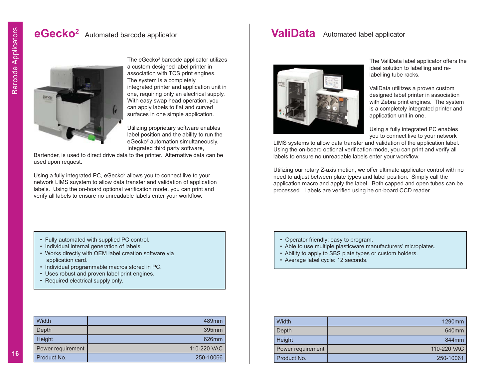## **eGecko2** Automated barcode applicator



The eGecko<sup>2</sup> barcode applicator utilizes a custom designed label printer in association with TCS print engines. The system is a completely integrated printer and application unit in one, requiring only an electrical supply. With easy swap head operation, you can apply labels to flat and curved surfaces in one simple application.

Utilizing proprietary software enables label position and the ability to run the eGecko<sup>2</sup> automation simultaneously. Integrated third party software,

Bartender, is used to direct drive data to the printer. Alternative data can be used upon request.

Using a fully integrated PC, eGecko<sup>2</sup> allows you to connect live to your network LIMS suystem to allow data transfer and validation of application labels. Using the on-board optional verification mode, you can print and verify all labels to ensure no unreadable labels enter your workflow.

- Fully automated with supplied PC control.
- Individual internal generation of labels.
- Works directly with OEM label creation software via application card.
- Individual programmable macros stored in PC.
- Uses robust and proven label print engines.
- Required electrical supply only.

| Width             | 489mm             |
|-------------------|-------------------|
| Depth             | 395 <sub>mm</sub> |
| Height            | 626mm             |
| Power requirement | 110-220 VAC       |
| Product No.       | 250-10066         |

## **ValiData** Automated label applicator



The ValiData label applicator offers the ideal solution to labelling and relabelling tube racks.

ValiData utilitzes a proven custom designed label printer in association with Zebra print engines. The system is a completely integrated printer and application unit in one.

Using a fully integrated PC enables you to connect live to your network

LIMS systems to allow data transfer and validation of the application label. Using the on-board optional verification mode, you can print and verify all labels to ensure no unreadable labels enter your workflow.

Utilizing our rotary Z-axis motion, we offer ultimate applicator control with no need to adjust between plate types and label position. Simply call the application macro and apply the label. Both capped and open tubes can be processed. Labels are verified using he on-board CCD reader.

- Operator friendly; easy to program.
- Able to use multiple plasticware manufacturers' microplates.
- Ability to apply to SBS plate types or custom holders.
- Average label cycle: 12 seconds.

| Width             | 1290 <sub>mm</sub> |
|-------------------|--------------------|
| Depth             | 640 <sub>mm</sub>  |
| Height            | 844mm              |
| Power requirement | 110-220 VAC        |
| Product No.       | 250-10061          |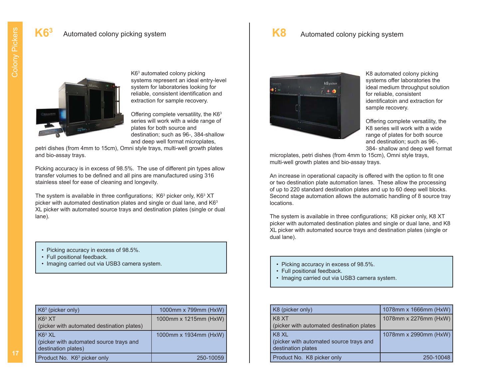#### **K8**Automated colony picking system



K63 automated colony picking systems represent an ideal entry-level system for laboratories looking for reliable, consistent identification and extraction for sample recovery.

Offering complete versatility, the  $K6<sup>3</sup>$ series will work with a wide range of plates for both source and destination; such as 96-, 384-shallow and deep well format microplates,

petri dishes (from 4mm to 15cm), Omni style trays, multi-well growth plates and bio-assay trays.

Picking accuracy is in excess of 98.5%. The use of different pin types allow transfer volumes to be defined and all pins are manufactured using 316 stainless steel for ease of cleaning and longevity.

The system is available in three configurations;  $K6<sup>3</sup>$  picker only,  $K6<sup>3</sup>$  XT picker with automated destination plates and single or dual lane, and K63 XL picker with automated source trays and destination plates (single or dual lane).

- Picking accuracy in excess of 98.5%.
- Full positional feedback.
- Imaging carried out via USB3 camera system.

| $K63$ (picker only)                        | 1000mm x 799mm (HxW)  |
|--------------------------------------------|-----------------------|
| K6 <sup>3</sup> XT                         | 1000mm x 1215mm (HxW) |
| (picker with automated destination plates) |                       |
| K6 <sup>3</sup> XL                         | 1000mm x 1934mm (HxW) |
| (picker with automated source trays and    |                       |
| destination plates)                        |                       |
| Product No. K6 <sup>3</sup> picker only    | 250-10059             |



K8 automated colony picking systems offer laboratories the ideal medium throughput solution for reliable, consistent identificatoin and extraction for sample recovery.

Offering complete versatility, the K8 series will work with a wide range of plates for both source and destination; such as 96-, 384- shallow and deep well format

microplates, petri dishes (from 4mm to 15cm), Omni style trays, multi-well growth plates and bio-assay trays.

An increase in operational capacity is offered with the option to fit one or two destination plate automation lanes. These allow the processing of up to 220 standard destination plates and up to 60 deep well blocks. Second stage automation allows the automatic handling of 8 source tray locations.

The system is available in three configurations; K8 picker only, K8 XT picker with automated destination plates and single or dual lane, and K8 XL picker with automated source trays and destination plates (single or dual lane).

- Picking accuracy in excess of 98.5%.
- Full positional feedback.
- Imaging carried out via USB3 camera system.

| K8 (picker only)                                                       | 1078mm x 1666mm (HxW) |
|------------------------------------------------------------------------|-----------------------|
| K8 XT<br>(picker with automated destination plates                     | 1078mm x 2276mm (HxW) |
| K8 XL<br>(picker with automated source trays and<br>destination plates | 1078mm x 2990mm (HxW) |
| Product No. K8 picker only                                             | 250-10048             |

Colony Pickers Colony Pickers